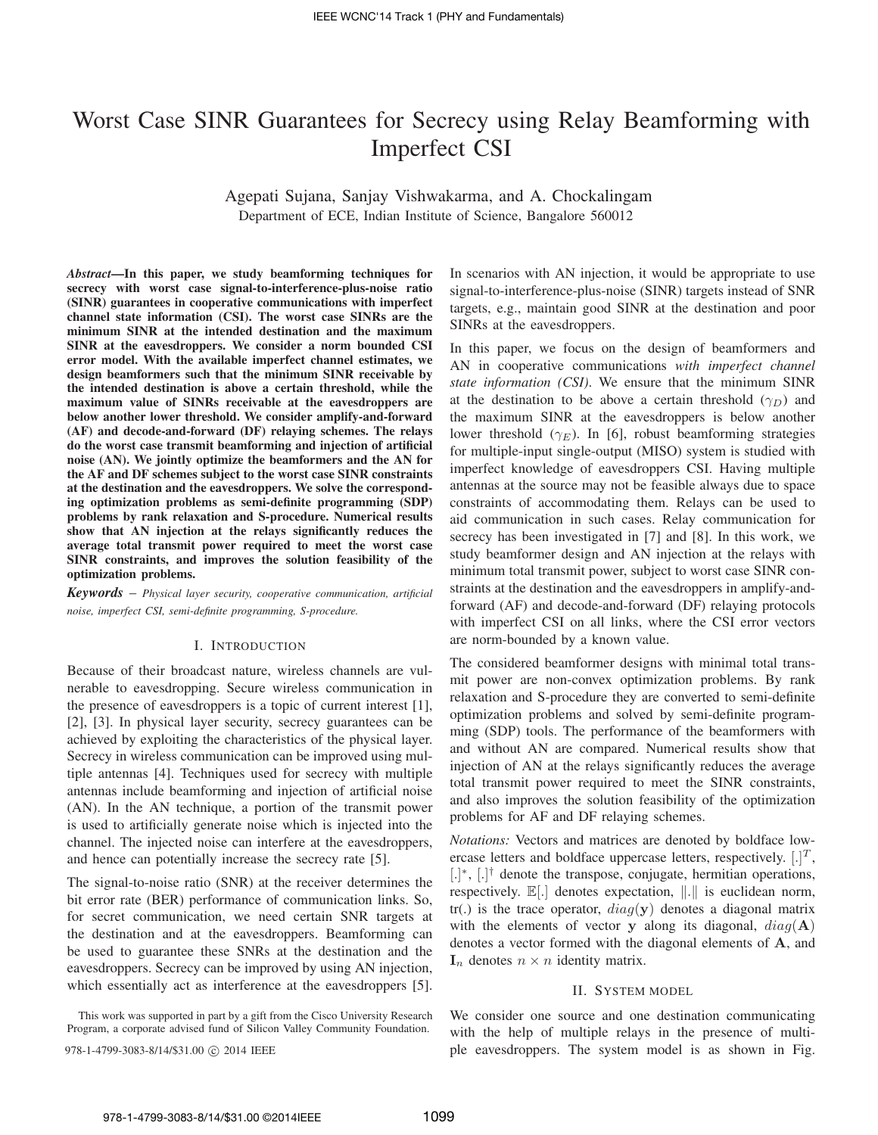# Worst Case SINR Guarantees for Secrecy using Relay Beamforming with Imperfect CSI

Agepati Sujana, Sanjay Vishwakarma, and A. Chockalingam Department of ECE, Indian Institute of Science, Bangalore 560012

*Abstract***—In this paper, we study beamforming techniques for secrecy with worst case signal-to-interference-plus-noise ratio (SINR) guarantees in cooperative communications with imperfect channel state information (CSI). The worst case SINRs are the minimum SINR at the intended destination and the maximum SINR at the eavesdroppers. We consider a norm bounded CSI error model. With the available imperfect channel estimates, we design beamformers such that the minimum SINR receivable by the intended destination is above a certain threshold, while the maximum value of SINRs receivable at the eavesdroppers are below another lower threshold. We consider amplify-and-forward (AF) and decode-and-forward (DF) relaying schemes. The relays do the worst case transmit beamforming and injection of artificial noise (AN). We jointly optimize the beamformers and the AN for the AF and DF schemes subject to the worst case SINR constraints at the destination and the eavesdroppers. We solve the corresponding optimization problems as semi-definite programming (SDP) problems by rank relaxation and S-procedure. Numerical results show that AN injection at the relays significantly reduces the average total transmit power required to meet the worst case SINR constraints, and improves the solution feasibility of the optimization problems.**

*Keywords* – *Physical layer security, cooperative communication, artificial noise, imperfect CSI, semi-definite programming, S-procedure.*

# I. INTRODUCTION

Because of their broadcast nature, wireless channels are vulnerable to eavesdropping. Secure wireless communication in the presence of eavesdroppers is a topic of current interest [1], [2], [3]. In physical layer security, secrecy guarantees can be achieved by exploiting the characteristics of the physical layer. Secrecy in wireless communication can be improved using multiple antennas [4]. Techniques used for secrecy with multiple antennas include beamforming and injection of artificial noise (AN). In the AN technique, a portion of the transmit power is used to artificially generate noise which is injected into the channel. The injected noise can interfere at the eavesdroppers, and hence can potentially increase the secrecy rate [5].

The signal-to-noise ratio (SNR) at the receiver determines the bit error rate (BER) performance of communication links. So, for secret communication, we need certain SNR targets at the destination and at the eavesdroppers. Beamforming can be used to guarantee these SNRs at the destination and the eavesdroppers. Secrecy can be improved by using AN injection, which essentially act as interference at the eavesdroppers [5].

This work was supported in part by a gift from the Cisco University Research Program, a corporate advised fund of Silicon Valley Community Foundation.

In scenarios with AN injection, it would be appropriate to use signal-to-interference-plus-noise (SINR) targets instead of SNR targets, e.g., maintain good SINR at the destination and poor SINRs at the eavesdroppers.

In this paper, we focus on the design of beamformers and AN in cooperative communications *with imperfect channel state information (CSI)*. We ensure that the minimum SINR at the destination to be above a certain threshold  $(\gamma_D)$  and the maximum SINR at the eavesdroppers is below another lower threshold  $(\gamma_E)$ . In [6], robust beamforming strategies for multiple-input single-output (MISO) system is studied with imperfect knowledge of eavesdroppers CSI. Having multiple antennas at the source may not be feasible always due to space constraints of accommodating them. Relays can be used to aid communication in such cases. Relay communication for secrecy has been investigated in [7] and [8]. In this work, we study beamformer design and AN injection at the relays with minimum total transmit power, subject to worst case SINR constraints at the destination and the eavesdroppers in amplify-andforward (AF) and decode-and-forward (DF) relaying protocols with imperfect CSI on all links, where the CSI error vectors are norm-bounded by a known value.

The considered beamformer designs with minimal total transmit power are non-convex optimization problems. By rank relaxation and S-procedure they are converted to semi-definite optimization problems and solved by semi-definite programming (SDP) tools. The performance of the beamformers with and without AN are compared. Numerical results show that injection of AN at the relays significantly reduces the average total transmit power required to meet the SINR constraints, and also improves the solution feasibility of the optimization problems for AF and DF relaying schemes.

*Notations:* Vectors and matrices are denoted by boldface lowercase letters and boldface uppercase letters, respectively.  $[.]^T$ , [.]<sup>\*</sup>, [.]<sup>†</sup> denote the transpose, conjugate, hermitian operations, respectively. [.] denotes expectation, ∥.∥ is euclidean norm, tr(.) is the trace operator,  $diag(y)$  denotes a diagonal matrix with the elements of vector y along its diagonal,  $diag(\mathbf{A})$ denotes a vector formed with the diagonal elements of **A**, and  $\mathbf{I}_n$  denotes  $n \times n$  identity matrix.

## II. SYSTEM MODEL

We consider one source and one destination communicating with the help of multiple relays in the presence of multi-978-1-4799-3083-8/14/\$31.00  $\odot$  2014 IEEE ple eavesdroppers. The system model is as shown in Fig.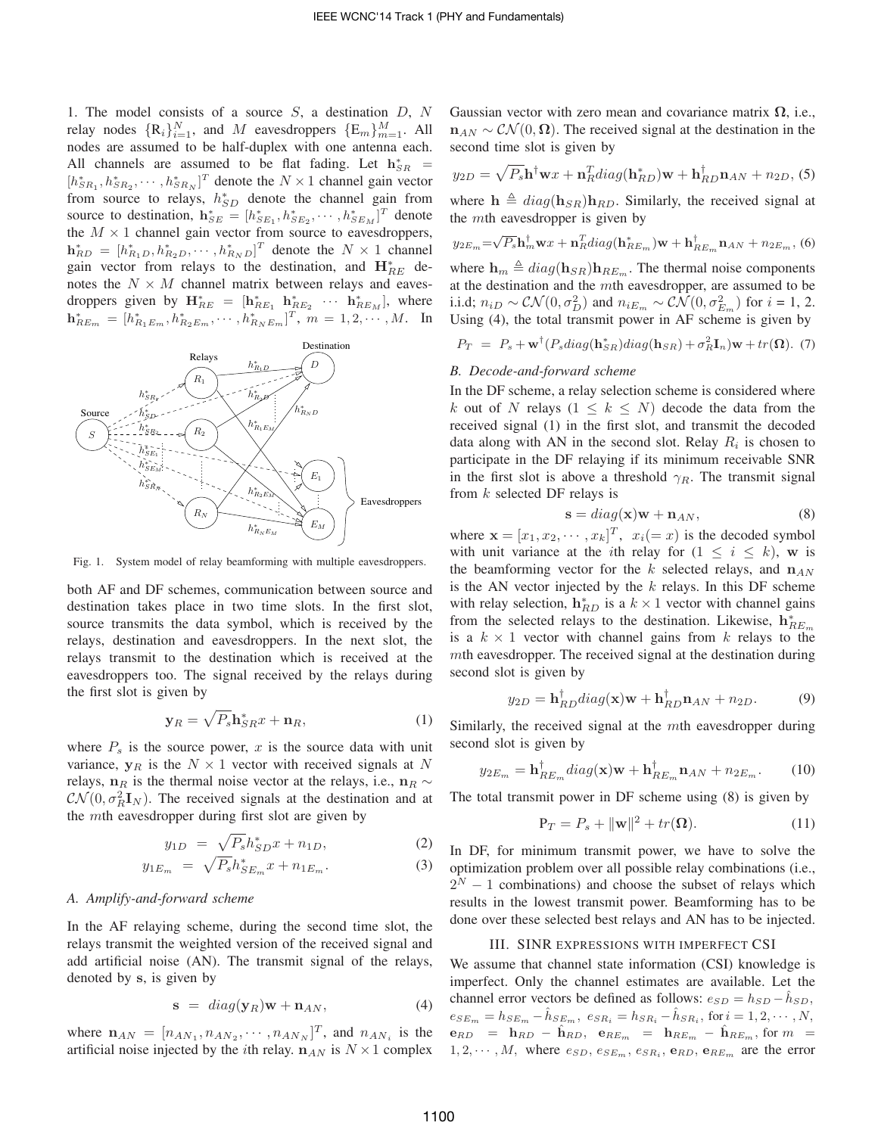1. The model consists of a source  $S$ , a destination  $D$ ,  $N$ relay nodes  $\{R_i\}_{i=1}^N$ , and M eavesdroppers  $\{E_m\}_{m=1}^M$ . All nodes are assumed to be half-duplex with one antenna each. All channels are assumed to be flat fading. Let  $h_{SR}^*$  =  $[h_{SR_1}^*, h_{SR_2}^*, \cdots, h_{SR_N}^*]^T$  denote the  $N \times 1$  channel gain vector from source to relays,  $h_{SD}^{*}$  denote the channel gain from source to destination,  $\mathbf{h}_{SE}^* = [h_{SE_1}^*, h_{SE_2}^*, \cdots, h_{SE_M}^*]^T$  denote the  $M \times 1$  channel gain vector from source to eavesdroppers,  $\mathbf{h}_{RD}^* = [h_{R_1D}^*, h_{R_2D}^*, \cdots, h_{R_ND}^*]^T$  denote the  $N \times 1$  channel gain vector from relays to the destination, and  $\mathbf{H}_{RE}^*$  denotes the  $N \times M$  channel matrix between relays and eavesdroppers given by  $\mathbf{H}_{RE}^* = [\mathbf{h}_{RE_1}^* \ \mathbf{h}_{RE_2}^* \ \cdots \ \mathbf{h}_{RE_M}^*]$ , where  $\mathbf{h}_{RE_m}^* = [h_{R_1E_m}^*, h_{R_2E_m}^*, \cdots, h_{R_NE_m}^*]^T$ ,  $m = 1, 2, \cdots, M$ . In



Fig. 1. System model of relay beamforming with multiple eavesdroppers.

both AF and DF schemes, communication between source and destination takes place in two time slots. In the first slot, source transmits the data symbol, which is received by the relays, destination and eavesdroppers. In the next slot, the relays transmit to the destination which is received at the eavesdroppers too. The signal received by the relays during the first slot is given by

$$
\mathbf{y}_R = \sqrt{P_s} \mathbf{h}_{SR}^* x + \mathbf{n}_R,\tag{1}
$$

where  $P_s$  is the source power,  $x$  is the source data with unit variance,  $y_R$  is the  $N \times 1$  vector with received signals at N relays, **n**<sub>R</sub> is the thermal noise vector at the relays, i.e., **n**<sub>R</sub> ∼  $\mathcal{CN}(0, \sigma_R^2 \mathbf{I}_N)$ . The received signals at the destination and at the *mth* eavesdropper during first slot are given by

$$
y_{1D} = \sqrt{P_s} h_{SD}^* x + n_{1D}, \tag{2}
$$

$$
y_{1E_m} = \sqrt{P_s} h_{SE_m}^* x + n_{1E_m}.
$$
 (3)

# *A. Amplify-and-forward scheme*

In the AF relaying scheme, during the second time slot, the relays transmit the weighted version of the received signal and add artificial noise (AN). The transmit signal of the relays, denoted by **s**, is given by

$$
\mathbf{s} = diag(\mathbf{y}_R)\mathbf{w} + \mathbf{n}_{AN}, \tag{4}
$$

where  $\mathbf{n}_{AN} = [n_{AN_1}, n_{AN_2}, \cdots, n_{AN_N}]^T$ , and  $n_{AN_i}$  is the artificial noise injected by the *i*th relay.  $n_{AN}$  is  $N \times 1$  complex

Gaussian vector with zero mean and covariance matrix **Ω**, i.e.,  $n_{AN} \sim \mathcal{CN}(0, \Omega)$ . The received signal at the destination in the second time slot is given by

$$
y_{2D} = \sqrt{P_s} \mathbf{h}^\dagger \mathbf{w} x + \mathbf{n}_R^T diag(\mathbf{h}_{RD}^*) \mathbf{w} + \mathbf{h}_{RD}^\dagger \mathbf{n}_{AN} + n_{2D}, \text{(5)}
$$

where  $h \triangleq diag(h_{SR})h_{RD}$ . Similarly, the received signal at the  $m$ th eavesdropper is given by

$$
y_{2E_m} = \sqrt{P_s} \mathbf{h}_m^{\dagger} \mathbf{w} x + \mathbf{n}_R^T diag(\mathbf{h}_{RE_m}^*) \mathbf{w} + \mathbf{h}_{RE_m}^{\dagger} \mathbf{n}_{AN} + n_{2E_m},
$$
 (6)

where  $\mathbf{h}_m \triangleq diag(\mathbf{h}_{SR})\mathbf{h}_{RE_m}$ . The thermal noise components at the destination and the  $m$ th eavesdropper, are assumed to be i.i.d;  $n_{iD} \sim \mathcal{CN}(0, \sigma_D^2)$  and  $n_{iE_m} \sim \mathcal{CN}(0, \sigma_{E_m}^2)$  for  $i = 1, 2$ . Using (4), the total transmit power in AF scheme is given by

$$
P_T = P_s + \mathbf{w}^\dagger (P_s \text{diag}(\mathbf{h}_{SR}^*) \text{diag}(\mathbf{h}_{SR}) + \sigma_R^2 \mathbf{I}_n) \mathbf{w} + tr(\mathbf{\Omega}). \tag{7}
$$

# *B. Decode-and-forward scheme*

In the DF scheme, a relay selection scheme is considered where k out of N relays  $(1 \leq k \leq N)$  decode the data from the received signal (1) in the first slot, and transmit the decoded data along with AN in the second slot. Relay  $R_i$  is chosen to participate in the DF relaying if its minimum receivable SNR in the first slot is above a threshold  $\gamma_R$ . The transmit signal from  $k$  selected DF relays is

$$
\mathbf{s} = diag(\mathbf{x})\mathbf{w} + \mathbf{n}_{AN},\tag{8}
$$

where  $\mathbf{x} = [x_1, x_2, \cdots, x_k]^T$ ,  $x_i (= x)$  is the decoded symbol with unit variance at the *i*th relay for  $(1 \le i \le k)$ , w is the beamforming vector for the  $k$  selected relays, and  $n_{AN}$ is the AN vector injected by the  $k$  relays. In this DF scheme with relay selection,  $h_{RD}^*$  is a  $k \times 1$  vector with channel gains from the selected relays to the destination. Likewise,  $h_{RE_m}^*$ is a  $k \times 1$  vector with channel gains from k relays to the  $m$ th eavesdropper. The received signal at the destination during second slot is given by

$$
y_{2D} = \mathbf{h}_{RD}^{\dagger} diag(\mathbf{x})\mathbf{w} + \mathbf{h}_{RD}^{\dagger} \mathbf{n}_{AN} + n_{2D}.
$$
 (9)

Similarly, the received signal at the  $m$ th eavesdropper during second slot is given by

$$
y_{2E_m} = \mathbf{h}_{RE_m}^{\dagger} diag(\mathbf{x})\mathbf{w} + \mathbf{h}_{RE_m}^{\dagger} \mathbf{n}_{AN} + n_{2E_m}.
$$
 (10)

The total transmit power in DF scheme using (8) is given by

$$
\mathbf{P}_T = P_s + ||\mathbf{w}||^2 + tr(\mathbf{\Omega}).\tag{11}
$$

In DF, for minimum transmit power, we have to solve the optimization problem over all possible relay combinations (i.e.,  $2<sup>N</sup> - 1$  combinations) and choose the subset of relays which results in the lowest transmit power. Beamforming has to be done over these selected best relays and AN has to be injected.

#### III. SINR EXPRESSIONS WITH IMPERFECT CSI

We assume that channel state information (CSI) knowledge is imperfect. Only the channel estimates are available. Let the channel error vectors be defined as follows:  $e_{SD} = h_{SD} - \hat{h}_{SD}$ ,  $e_{SE_m} = h_{SE_m} - \hat{h}_{SE_m}, e_{SR_i} = h_{SR_i} - \hat{h}_{SR_i}, \text{ for } i = 1, 2, \cdots, N,$  ${\bf e}_{RD}$  =  ${\bf h}_{RD}$  –  ${\hat{\bf h}}_{RD}$ ,  ${\bf e}_{RE_m}$  =  ${\bf h}_{RE_m}$  –  ${\hat{\bf h}}_{RE_m}$ , for  $m$  =  $1, 2, \cdots, M$ , where  $e_{SD}, e_{SE_m}, e_{SR_i}, e_{RD}, e_{RE_m}$  are the error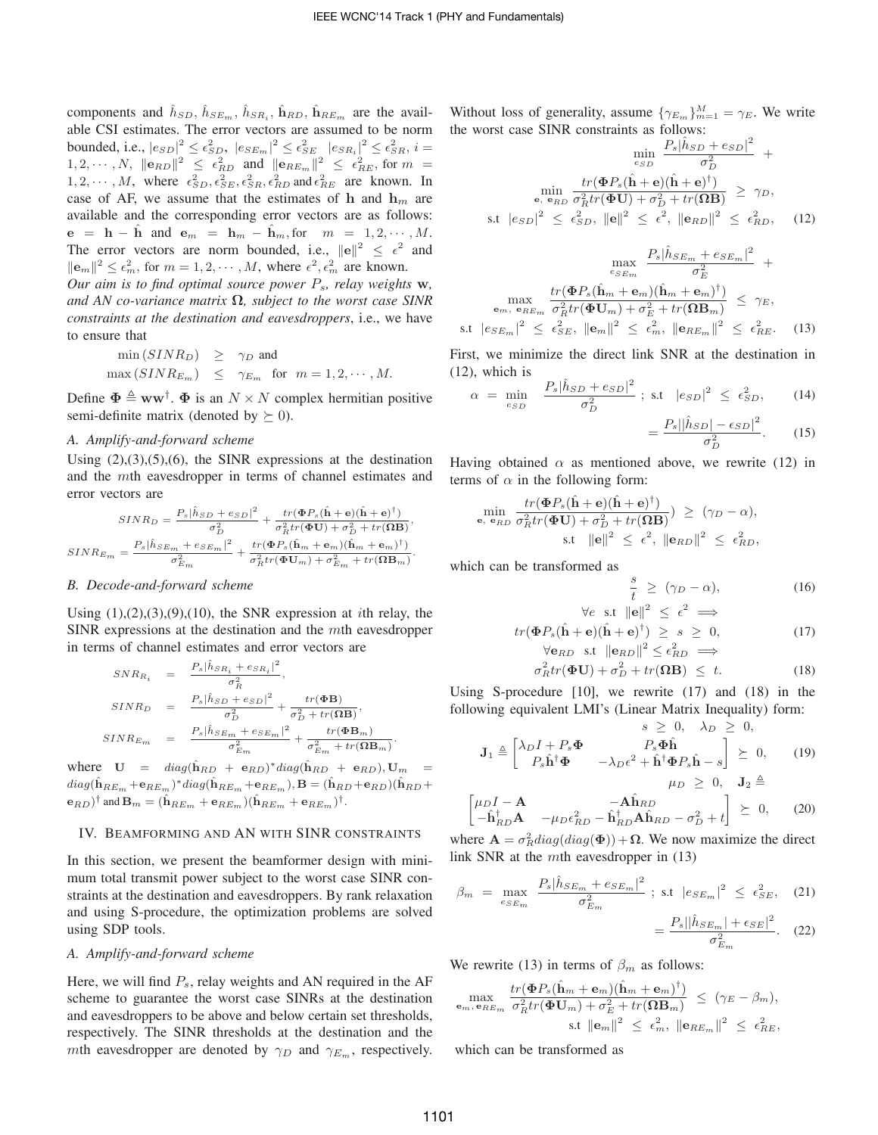components and  $\hat{h}_{SD}$ ,  $\hat{h}_{SE_m}$ ,  $\hat{h}_{SR_i}$ ,  $\hat{h}_{RD}$ ,  $\hat{h}_{RE_m}$  are the available CSI estimates. The error vectors are assumed to be norm bounded, i.e.,  $|e_{SD}|^2 \le \epsilon_{SD}^2$ ,  $|e_{SE_m}|^2 \le \epsilon_{SE}^2$   $|e_{SR_i}|^2 \le \epsilon_{SR}^2$ ,  $i =$ 1, 2, . . . , N,  $||e_{RD}||^2 \leq \epsilon_{RD}^2$  and  $||e_{RE_m}||^2 \leq \epsilon_{RE}^2$ , for  $m =$  $1, 2, \cdots, M$ , where  $\epsilon_{SD}^2, \epsilon_{SE}^2, \epsilon_{SR}^2, \epsilon_{RD}^2$  and  $\epsilon_{RE}^2$  are known. In case of AF, we assume that the estimates of **h** and  $h_m$  are available and the corresponding error vectors are as follows:  $e = h - \hat{h}$  and  $e_m = h_m - \hat{h}_m$ , for  $m = 1, 2, \dots, M$ . The error vectors are norm bounded, i.e.,  $||e||^2 \leq \epsilon^2$  and  $\|\mathbf{e}_m\|^2 \leq \epsilon_m^2$ , for  $m = 1, 2, \cdots, M$ , where  $\epsilon^2, \epsilon_m^2$  are known.

*Our aim is to find optimal source power*  $P_s$ *, relay weights*  $\mathbf{w}$ *, and AN co-variance matrix* **Ω***, subject to the worst case SINR constraints at the destination and eavesdroppers*, i.e., we have to ensure that

$$
\begin{array}{rcl}\n\min(SINR_D) & \geq & \gamma_D \text{ and} \\
\max(SINR_{E_m}) & \leq & \gamma_{E_m} \text{ for } m = 1, 2, \cdots, M.\n\end{array}
$$

Define  $\Phi \triangleq \mathbf{w}\mathbf{w}^{\dagger}$ .  $\Phi$  is an  $N \times N$  complex hermitian positive semi-definite matrix (denoted by  $\succeq 0$ ).

## *A. Amplify-and-forward scheme*

Using  $(2),(3),(5),(6)$ , the SINR expressions at the destination and the mth eavesdropper in terms of channel estimates and error vectors are

$$
\begin{aligned} SINR_D &= \frac{P_s |\hat{h}_{SD} + e_{SD}|^2}{\sigma_D^2} + \frac{tr(\Phi P_s (\hat{\mathbf{h}} + \mathbf{e}) (\hat{\mathbf{h}} + \mathbf{e})^\dagger)}{\sigma_R^2 tr(\Phi \mathbf{U}) + \sigma_D^2 + tr(\Omega \mathbf{B})}, \\ SINR_{E_m} &= \frac{P_s |\hat{h}_{SE_m} + e_{SE_m}|^2}{\sigma_{E_m}^2} + \frac{tr(\Phi P_s (\hat{\mathbf{h}}_m + \mathbf{e}_m) (\hat{\mathbf{h}}_m + \mathbf{e}_m)^\dagger)}{\sigma_R^2 tr(\Phi \mathbf{U}_m) + \sigma_{E_m}^2 + tr(\Omega \mathbf{B}_m)}. \end{aligned}
$$

## *B. Decode-and-forward scheme*

Using  $(1), (2), (3), (9), (10)$ , the SNR expression at *i*th relay, the SINR expressions at the destination and the  $m$ th eavesdropper in terms of channel estimates and error vectors are

$$
SNR_{R_i} = \frac{P_s |\hat{h}_{SR_i} + e_{SR_i}|^2}{\sigma_R^2},
$$
  
\n
$$
SINR_D = \frac{P_s |\hat{h}_{SD} + e_{SD}|^2}{\sigma_D^2} + \frac{tr(\Phi \mathbf{B})}{\sigma_D^2 + tr(\Omega \mathbf{B})},
$$
  
\n
$$
SINR_{Em} = \frac{P_s |\hat{h}_{SE_m} + e_{SE_m}|^2}{\sigma_{Em}^2} + \frac{tr(\Phi \mathbf{B}_m)}{\sigma_{Em}^2 + tr(\Omega \mathbf{B}_m)}.
$$

where  $\mathbf{U} = diag(\hat{\mathbf{h}}_{RD} + \mathbf{e}_{RD})^* diag(\hat{\mathbf{h}}_{RD} + \mathbf{e}_{RD}), \mathbf{U}_m =$  $diag(\hat{\mathbf{h}}_{RE_m} + \mathbf{e}_{RE_m})^* diag(\hat{\mathbf{h}}_{RE_m} + \mathbf{e}_{RE_m}), \mathbf{B} = (\hat{\mathbf{h}}_{RD} + \mathbf{e}_{RD})(\hat{\mathbf{h}}_{RD} + \mathbf{e}_{RD})$  $(\hat{\mathbf{h}}_{RE_m})^{\dagger}$  and  $\mathbf{B}_m = (\hat{\mathbf{h}}_{RE_m} + \mathbf{e}_{RE_m})(\hat{\mathbf{h}}_{RE_m} + \mathbf{e}_{RE_m})^{\dagger}$ .

# IV. BEAMFORMING AND AN WITH SINR CONSTRAINTS

In this section, we present the beamformer design with minimum total transmit power subject to the worst case SINR constraints at the destination and eavesdroppers. By rank relaxation and using S-procedure, the optimization problems are solved using SDP tools.

# *A. Amplify-and-forward scheme*

Here, we will find  $P_s$ , relay weights and AN required in the AF scheme to guarantee the worst case SINRs at the destination and eavesdroppers to be above and below certain set thresholds, respectively. The SINR thresholds at the destination and the mth eavesdropper are denoted by  $\gamma_D$  and  $\gamma_{E_m}$ , respectively.

Without loss of generality, assume  $\{\gamma_{E_m}\}_{m=1}^M = \gamma_E$ . We write the worst case SINR constraints as follows:

$$
\min_{e_{SD}} \frac{P_s |\hat{h}_{SD} + e_{SD}|^2}{\sigma_D^2} + \min_{\mathbf{e}, \mathbf{e}_{RD}} \frac{tr(\Phi P_s (\hat{\mathbf{h}} + \mathbf{e})(\hat{\mathbf{h}} + \mathbf{e})^{\dagger})}{\sigma_B^2 tr(\Phi \mathbf{U}) + \sigma_D^2 + tr(\Omega \mathbf{B})} \ge \gamma_D,
$$
  
s.t  $|e_{SD}|^2 \le \epsilon_{SD}^2$ ,  $||\mathbf{e}||^2 \le \epsilon^2$ ,  $||\mathbf{e}_{RD}||^2 \le \epsilon_{RD}^2$ , (12)

$$
\max_{e_{SE_m}} \frac{P_s |\hat{h}_{SE_m} + e_{SE_m}|^2}{\sigma_E^2} + \max_{e_m, e_{RE_m}} \frac{tr(\Phi P_s (\hat{\mathbf{h}}_m + \mathbf{e}_m)(\hat{\mathbf{h}}_m + \mathbf{e}_m)^{\dagger})}{\sigma_R^2 tr(\Phi \mathbf{U}_m) + \sigma_E^2 + tr(\Omega \mathbf{B}_m)} \leq \gamma_E,
$$
s.t  $|e_{SE_m}|^2 \leq \epsilon_{SE}^2$ ,  $||\mathbf{e}_m||^2 \leq \epsilon_m^2$ ,  $||\mathbf{e}_{RE_m}||^2 \leq \epsilon_{RE}^2$ . (13)

First, we minimize the direct link SNR at the destination in (12), which is

$$
\alpha = \min_{\epsilon_{SD}} \quad \frac{P_s |\hat{h}_{SD} + \epsilon_{SD}|^2}{\sigma_D^2} \; ; \; \text{s.t} \; |\epsilon_{SD}|^2 \; \leq \; \epsilon_{SD}^2, \tag{14}
$$

$$
=\frac{P_s||\hat{h}_{SD}|-\epsilon_{SD}|^2}{\sigma_D^2}.\qquad(15)
$$

Having obtained  $\alpha$  as mentioned above, we rewrite (12) in terms of  $\alpha$  in the following form:

$$
\min_{\mathbf{e}, \ \mathbf{e}_{RD}} \frac{tr(\mathbf{\Phi}P_s(\hat{\mathbf{h}} + \mathbf{e})(\hat{\mathbf{h}} + \mathbf{e})^{\dagger})}{\sigma_R^2 tr(\mathbf{\Phi}\mathbf{U}) + \sigma_D^2 + tr(\mathbf{\Omega}\mathbf{B})} \geq (\gamma_D - \alpha),
$$
\n
$$
\text{s.t } ||\mathbf{e}||^2 \leq \epsilon^2, ||\mathbf{e}_{RD}||^2 \leq \epsilon_{RD}^2,
$$

which can be transformed as

$$
\frac{s}{t} \ge (\gamma_D - \alpha),
$$
 (16)  
\n
$$
\forall e \text{ s.t } ||e||^2 \le \epsilon^2 \implies
$$

$$
tr(\Phi P_s(\hat{\mathbf{h}} + \mathbf{e})(\hat{\mathbf{h}} + \mathbf{e})^{\dagger}) \geq s \geq 0,
$$
  
\n
$$
\forall \mathbf{e}_{RD} \text{ s.t } ||\mathbf{e}_{RD}||^2 \leq \epsilon_{RD}^2 \implies
$$
 (17)

$$
\sigma_R^2 tr(\mathbf{\Phi} \mathbf{U}) + \sigma_D^2 + tr(\mathbf{\Omega} \mathbf{B}) \leq t. \tag{18}
$$

Using S-procedure [10], we rewrite (17) and (18) in the following equivalent LMI's (Linear Matrix Inequality) form:  $\overline{Q}$  0,  $\overline{Q}$ 

$$
\mathbf{J}_1 \triangleq \begin{bmatrix} \lambda_D I + P_s \boldsymbol{\Phi} & P_s \boldsymbol{\Phi} \hat{\mathbf{h}} \\ P_s \hat{\mathbf{h}}^\dagger \boldsymbol{\Phi} & -\lambda_D \epsilon^2 + \hat{\mathbf{h}}^\dagger \boldsymbol{\Phi} P_s \hat{\mathbf{h}} - s \end{bmatrix} \succeq 0, \qquad (19)
$$

$$
\begin{bmatrix} \mu_D I - \mathbf{A} & -\mathbf{A} \hat{\mathbf{h}}_{RD} \\ -\hat{\mathbf{h}}_{RD}^{\dagger} \mathbf{A} & -\mu_D \epsilon_{RD}^2 - \hat{\mathbf{h}}_{RD}^{\dagger} \mathbf{A} \hat{\mathbf{h}}_{RD} - \sigma_D^2 + t \end{bmatrix} \succeq 0, \quad (20)
$$

where  $\mathbf{A} = \sigma_R^2 diag(diag(\Phi)) + \Omega$ . We now maximize the direct link SNR at the  $m$ th eavesdropper in  $(13)$ 

$$
\beta_m = \max_{e_{SE_m}} \frac{P_s |\hat{h}_{SE_m} + e_{SE_m}|^2}{\sigma_{E_m}^2}; \text{ s.t } |e_{SE_m}|^2 \le \epsilon_{SE}^2, \quad (21)
$$

$$
= \frac{P_s ||\hat{h}_{SE_m}| + \epsilon_{SE}|^2}{\sigma_{E_m}^2}. \quad (22)
$$

We rewrite (13) in terms of  $\beta_m$  as follows:

$$
\max_{\mathbf{e}_m, \mathbf{e}_{RE_m}} \frac{tr(\mathbf{\Phi}P_s(\hat{\mathbf{h}}_m + \mathbf{e}_m)(\hat{\mathbf{h}}_m + \mathbf{e}_m)^{\dagger})}{\sigma_R^2 tr(\mathbf{\Phi}\mathbf{U}_m) + \sigma_E^2 + tr(\Omega \mathbf{B}_m)} \leq (\gamma_E - \beta_m),
$$
  
s.t  $||\mathbf{e}_m||^2 \leq \epsilon_m^2$ ,  $||\mathbf{e}_{RE_m}||^2 \leq \epsilon_{RE}^2$ ,

which can be transformed as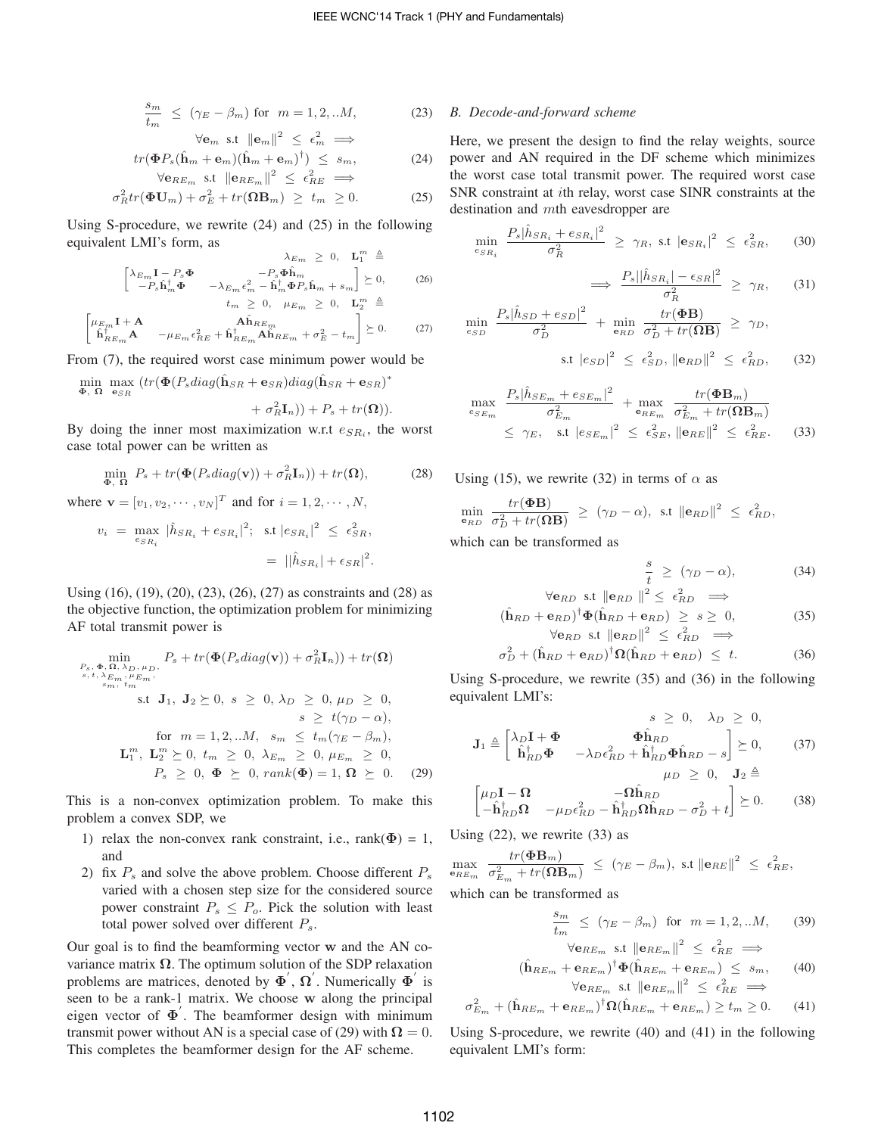$$
\frac{s_m}{t_m} \le (\gamma_E - \beta_m) \text{ for } m = 1, 2, \dots M,
$$
 (23)

$$
\forall \mathbf{e}_m \text{ s.t } ||\mathbf{e}_m||^2 \le \epsilon_m^2 \implies
$$
  

$$
tr(\Phi P_s(\hat{\mathbf{h}}_m + \mathbf{e}_m)(\hat{\mathbf{h}}_m + \mathbf{e}_m)^{\dagger}) \le s_m,
$$
  

$$
\forall \mathbf{e}_{RE_m} \text{ s.t } ||\mathbf{e}_{RE_m}||^2 \le \epsilon_{RE}^2 \implies
$$
 (24)

$$
\sigma_R^2 tr(\mathbf{\Phi} \mathbf{U}_m) + \sigma_E^2 + tr(\mathbf{\Omega} \mathbf{B}_m) \ge t_m \ge 0.
$$
 (25)

Using S-procedure, we rewrite (24) and (25) in the following equivalent LMI's form, as

$$
\lambda_{E_m} \geq 0, \quad \mathbf{L}_1^m \triangleq
$$
\n
$$
\begin{bmatrix}\n\lambda_{E_m} \mathbf{I} - P_s \boldsymbol{\Phi} & -P_s \boldsymbol{\Phi} \hat{\mathbf{h}}_m \\
-P_s \hat{\mathbf{h}}_m^{\dagger} \boldsymbol{\Phi} & -\lambda_{E_m} \epsilon_m^2 - \hat{\mathbf{h}}_m^{\dagger} \boldsymbol{\Phi} P_s \hat{\mathbf{h}}_m + s_m\n\end{bmatrix} \succeq 0, \qquad (26)
$$
\n
$$
t_m \geq 0, \quad \mu_{E_m} \geq 0, \quad \mathbf{L}_2^m \triangleq
$$

$$
\begin{bmatrix} \mu_{E_m} \mathbf{I} + \mathbf{A} & \mathbf{A} \hat{\mathbf{h}}_{RE_m} \\ \hat{\mathbf{h}}_{RE_m}^{\dagger} \mathbf{A} & -\mu_{E_m} \epsilon_{RE}^2 + \hat{\mathbf{h}}_{RE_m}^{\dagger} \mathbf{A} \hat{\mathbf{h}}_{RE_m} + \sigma_E^2 - t_m \end{bmatrix} \succeq 0.
$$
 (27)

From (7), the required worst case minimum power would be

$$
\begin{aligned}\n\min_{\mathbf{\Phi}, \ \mathbf{\Omega}} \ \max_{\mathbf{e}_{SR}} \left( tr(\mathbf{\Phi}(P_s diag(\hat{\mathbf{h}}_{SR} + \mathbf{e}_{SR}) diag(\hat{\mathbf{h}}_{SR} + \mathbf{e}_{SR})^* \right. \\
&\qquad \qquad + \sigma_R^2 \mathbf{I}_n)) + P_s + tr(\mathbf{\Omega})).\n\end{aligned}
$$

By doing the inner most maximization w.r.t  $e_{SR_i}$ , the worst case total power can be written as

$$
\min_{\mathbf{\Phi}, \ \mathbf{\Omega}} \ P_s + tr(\mathbf{\Phi}(P_s \operatorname{diag}(\mathbf{v})) + \sigma_R^2 \mathbf{I}_n)) + tr(\mathbf{\Omega}), \tag{28}
$$

where **v** =  $[v_1, v_2, \dots, v_N]^T$  and for  $i = 1, 2, \dots, N$ ,  $v_i = \max_{e_{SR_i}} |\hat{h}_{SR_i} + e_{SR_i}|^2$ ; s.t  $|e_{SR_i}|^2 \leq \epsilon_{SR_i}^2$ 

$$
{}^{e_{SR_i}} = ||\hat{h}_{SR_i}| + \epsilon_{SR}|^2.
$$

Using (16), (19), (20), (23), (26), (27) as constraints and (28) as the objective function, the optimization problem for minimizing AF total transmit power is

$$
\min_{\substack{P_s, \Phi, \Omega, \lambda_D, \mu_D, \mu_D, \Delta \subset \mathbb{R}^n, \Delta \subset \mathbb{R}^n, \Delta \subset \mathbb{R}^n, \Delta \subset \mathbb{R}^n, \Delta \subset \mathbb{R}^n, \Delta \subset \mathbb{R}^n, \Delta \subset \mathbb{R}^n, \Delta \subset \mathbb{R}^n, \Delta \subset \mathbb{R}^n, \Delta \subset \mathbb{R}^n, \Delta \subset \mathbb{R}^n, \Delta \subset \mathbb{R}^n, \Delta \subset \mathbb{R}^n, \Delta \subset \mathbb{R}^n, \Delta \subset \mathbb{R}^n, \Delta \subset \mathbb{R}^n, \Delta \subset \mathbb{R}^n, \Delta \subset \mathbb{R}^n, \Delta \subset \mathbb{R}^n, \Delta \subset \mathbb{R}^n, \Delta \subset \mathbb{R}^n, \Delta \subset \mathbb{R}^n, \Delta \subset \mathbb{R}^n, \Delta \subset \mathbb{R}^n, \Delta \subset \mathbb{R}^n, \Delta \subset \mathbb{R}^n, \Delta \subset \mathbb{R}^n, \Delta \subset \mathbb{R}^n, \Delta \subset \mathbb{R}^n, \Delta \subset \mathbb{R}^n, \Delta \subset \mathbb{R}^n, \Delta \subset \mathbb{R}^n, \Delta \subset \mathbb{R}^n, \Delta \subset \mathbb{R}^n, \Delta \subset \mathbb{R}^n, \Delta \subset \mathbb{R}^n, \Delta \subset \mathbb{R}^n, \Delta \subset \mathbb{R}^n, \Delta \subset \mathbb{R}^n, \Delta \subset \mathbb{R}^n, \Delta \subset \mathbb{R}^n, \Delta \subset \mathbb{R}^n, \Delta \subset \mathbb{R}^n, \Delta \subset \mathbb{R}^n, \Delta \subset \mathbb{R}^n, \Delta \subset \mathbb{R}^n, \Delta \subset \mathbb{R}^n, \Delta \subset \mathbb{R}^n, \Delta \subset \mathbb{R}^n, \Delta \subset \mathbb{R}^n, \Delta \subset \mathbb{R}^n, \Delta \subset \mathbb{R}^n, \Delta \subset \mathbb{R}^n, \Delta \subset \mathbb{R}^n, \Delta \subset \mathbb{R}^n, \Delta \subset \mathbb{R}^n, \Delta \subset
$$

This is a non-convex optimization problem. To make this problem a convex SDP, we

- 1) relax the non-convex rank constraint, i.e.,  $rank(\Phi) = 1$ , and
- 2) fix  $P_s$  and solve the above problem. Choose different  $P_s$ varied with a chosen step size for the considered source power constraint  $P_s \leq P_o$ . Pick the solution with least total power solved over different  $P_s$ .

Our goal is to find the beamforming vector **w** and the AN covariance matrix  $\Omega$ . The optimum solution of the SDP relaxation problems are matrices, denoted by  $\Phi'$ ,  $\Omega'$ . Numerically  $\Phi'$  is seen to be a rank-1 matrix. We choose **w** along the principal eigen vector of **Φ**′ . The beamformer design with minimum transmit power without AN is a special case of (29) with  $\Omega = 0$ . This completes the beamformer design for the AF scheme.

## *B. Decode-and-forward scheme*

Here, we present the design to find the relay weights, source power and AN required in the DF scheme which minimizes the worst case total transmit power. The required worst case SNR constraint at *i*th relay, worst case SINR constraints at the destination and mth eavesdropper are

$$
\min_{e_{SR_i}} \frac{P_s |\hat{h}_{SR_i} + e_{SR_i}|^2}{\sigma_R^2} \ge \gamma_R, \text{ s.t } |\mathbf{e}_{SR_i}|^2 \le \epsilon_{SR}^2, \qquad (30)
$$

$$
\implies \frac{P_s ||\hat{h}_{SR_i}| - \epsilon_{SR}|^2}{\sigma_R^2} \ge \gamma_R, \qquad (31)
$$

$$
\min_{e_{SD}} \frac{P_s |\hat{h}_{SD} + e_{SD}|^2}{\sigma_D^2} + \min_{\mathbf{e}_{RD}} \frac{tr(\mathbf{\Phi B})}{\sigma_D^2 + tr(\mathbf{\Omega B})} \ge \gamma_D,
$$
\n
$$
\text{s.t } |e_{SD}|^2 \le \epsilon_{SD}^2, \|\mathbf{e}_{RD}\|^2 \le \epsilon_{RD}^2, \quad (32)
$$

$$
\max_{e_{SE_m}} \frac{P_s |\hat{h}_{SE_m} + e_{SE_m}|^2}{\sigma_{E_m}^2} + \max_{e_{RE_m}} \frac{tr(\boldsymbol{\Phi} \mathbf{B}_m)}{\sigma_{E_m}^2 + tr(\boldsymbol{\Omega} \mathbf{B}_m)}
$$
\n
$$
\leq \gamma_E, \quad \text{s.t } |e_{SE_m}|^2 \leq \epsilon_{SE}^2, \|\mathbf{e}_{RE}\|^2 \leq \epsilon_{RE}^2. \tag{33}
$$

Using (15), we rewrite (32) in terms of  $\alpha$  as

$$
\min_{\mathbf{e}_{RD}} \frac{tr(\mathbf{\Phi}\mathbf{B})}{\sigma_D^2 + tr(\mathbf{\Omega}\mathbf{B})} \ \geq \ (\gamma_D - \alpha), \ \text{ s.t } \|\mathbf{e}_{RD}\|^2 \ \leq \ \epsilon_{RD}^2,
$$

which can be transformed as

$$
\frac{s}{t} \ge (\gamma_D - \alpha),\tag{34}
$$

$$
\forall \mathbf{e}_{RD} \text{ s.t } ||\mathbf{e}_{RD}||^2 \le \epsilon_{RD}^2 \implies
$$

$$
(\hat{\mathbf{h}}_{RD} + \mathbf{e}_{RD})^{\dagger} \Phi(\hat{\mathbf{h}}_{RD} + \mathbf{e}_{RD}) \ge s \ge 0,
$$
 (35)

$$
\forall \mathbf{e}_{RD} \text{ s.t } ||\mathbf{e}_{RD}||^2 \leq \epsilon_{RD}^2 \implies
$$
  

$$
\sigma_D^2 + (\hat{\mathbf{h}}_{RD} + \mathbf{e}_{RD})^{\dagger} \Omega(\hat{\mathbf{h}}_{RD} + \mathbf{e}_{RD}) \leq t. \tag{36}
$$

Using S-procedure, we rewrite (35) and (36) in the following equivalent LMI's:

$$
s \geq 0, \quad \lambda_D \geq 0,
$$
  
\n
$$
\mathbf{J}_1 \triangleq \begin{bmatrix} \lambda_D \mathbf{I} + \mathbf{\Phi} & \mathbf{\Phi} \hat{\mathbf{h}}_{RD} \\ \hat{\mathbf{h}}_{RD}^{\dagger} \mathbf{\Phi} & -\lambda_D \epsilon_{RD}^2 + \hat{\mathbf{h}}_{RD}^{\dagger} \mathbf{\Phi} \hat{\mathbf{h}}_{RD} - s \end{bmatrix} \succeq 0, \quad (37)
$$
  
\n
$$
\mu_D \geq 0, \quad \mathbf{J}_2 \triangleq
$$

$$
\begin{bmatrix} \mu_D \mathbf{I} - \mathbf{\Omega} & -\mathbf{\Omega} \hat{\mathbf{h}}_{RD} \\ -\hat{\mathbf{h}}_{RD}^{\dagger} \mathbf{\Omega} & -\mu_D \epsilon_{RD}^2 - \hat{\mathbf{h}}_{RD}^{\dagger} \mathbf{\Omega} \hat{\mathbf{h}}_{RD} - \sigma_D^2 + t \end{bmatrix} \succeq 0.
$$
 (38)

Using  $(22)$ , we rewrite  $(33)$  as

$$
\max_{\mathbf{e}_{RE_m}} \frac{tr(\mathbf{\Phi B}_m)}{\sigma_{E_m}^2 + tr(\mathbf{\Omega B}_m)} \leq (\gamma_E - \beta_m), \text{ s.t } ||\mathbf{e}_{RE}||^2 \leq \epsilon_{RE}^2,
$$

which can be transformed as

$$
\frac{s_m}{t_m} \le (\gamma_E - \beta_m) \text{ for } m = 1, 2, \dots M, \quad (39)
$$

$$
\forall \mathbf{e}_{RE_m} \text{ s.t } ||\mathbf{e}_{RE_m}||^2 \le \epsilon_{RE}^2 \implies
$$
  

$$
(\hat{\mathbf{h}}_{RE_m} + \mathbf{e}_{RE_m})^{\dagger} \Phi(\hat{\mathbf{h}}_{RE_m} + \mathbf{e}_{RE_m}) \le s_m,
$$
 (40)

$$
\forall \mathbf{e}_{RE_m} \text{ s.t } ||\mathbf{e}_{RE_m}||^2 \leq \epsilon_{RE}^2 \implies
$$
  

$$
\sigma_{E_m}^2 + (\hat{\mathbf{h}}_{RE_m} + \mathbf{e}_{RE_m})^{\dagger} \Omega(\hat{\mathbf{h}}_{RE_m} + \mathbf{e}_{RE_m}) \geq t_m \geq 0. \tag{41}
$$

Using S-procedure, we rewrite (40) and (41) in the following equivalent LMI's form: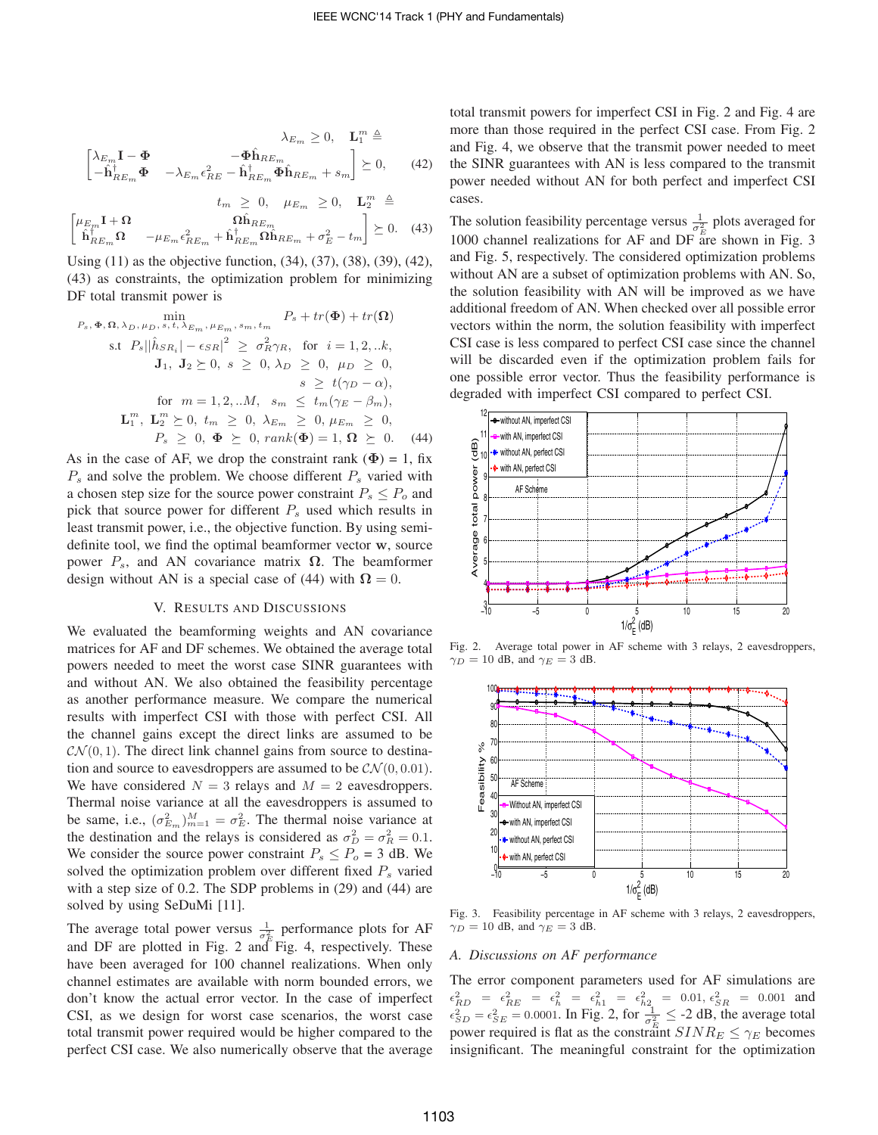$$
\lambda_{E_m} \ge 0, \quad \mathbf{L}_1^m \triangleq
$$

$$
\begin{bmatrix}\n\lambda_{E_m}\mathbf{I} - \mathbf{\Phi} & -\mathbf{\Phi}\hat{\mathbf{h}}_{RE_m} \\
-\mathbf{\hat{h}}_{RE_m}^{\dagger}\mathbf{\Phi} & -\lambda_{E_m}\epsilon_{RE}^2 - \mathbf{\hat{h}}_{RE_m}^{\dagger}\mathbf{\Phi}\hat{\mathbf{h}}_{RE_m} + s_m\n\end{bmatrix} \succeq 0, \qquad (42)
$$

 $t_m \geq 0$ ,  $\mu_{E_m} \geq 0$ ,  $\mathbf{L}_2^m \triangleq$  $\begin{bmatrix} \mu_{E_m} \mathbf{I} + \mathbf{\Omega} \end{bmatrix}$   $\hat{\mathbf{\Omega}} \hat{\mathbf{h}}_{RE_m}$  $\hat{\textbf{h}}^{\dagger}_{RE_m}\boldsymbol{\Omega} \quad \ -\mu_{E_m}\epsilon_{RE_m}^2 + \hat{\textbf{h}}^{\dagger}_{RE_m}\boldsymbol{\Omega}\hat{\textbf{h}}_{RE_m} + \sigma_E^2 - t_m$  $\Big] \geq 0.$  (43)

Using (11) as the objective function, (34), (37), (38), (39), (42), (43) as constraints, the optimization problem for minimizing DF total transmit power is

$$
\min_{P_s, \Phi, \Omega, \lambda_D, \mu_D, s, t, \lambda_{E_m, \mu_{E_m}, s_m, t_m} P_s + tr(\Phi) + tr(\Omega)
$$
\n
$$
\text{s.t } P_s ||\hat{h}_{SR_i} - \epsilon_{SR}|^2 \geq \sigma_R^2 \gamma_R, \text{ for } i = 1, 2, \dots k,
$$
\n
$$
\mathbf{J}_1, \mathbf{J}_2 \geq 0, \ s \geq 0, \lambda_D \geq 0, \ \mu_D \geq 0,
$$
\n
$$
s \geq t(\gamma_D - \alpha),
$$
\n
$$
\text{for } m = 1, 2, \dots M, \ s_m \leq t_m(\gamma_E - \beta_m),
$$
\n
$$
\mathbf{L}_1^m, \mathbf{L}_2^m \geq 0, \ t_m \geq 0, \ \lambda_{E_m} \geq 0, \ \mu_{E_m} \geq 0,
$$
\n
$$
P_s \geq 0, \ \Phi \geq 0, \ \text{rank}(\Phi) = 1, \ \Omega \geq 0. \tag{44}
$$

As in the case of AF, we drop the constraint rank  $(\Phi) = 1$ , fix  $P_s$  and solve the problem. We choose different  $P_s$  varied with a chosen step size for the source power constraint  $P_s \leq P_o$  and pick that source power for different  $P_s$  used which results in least transmit power, i.e., the objective function. By using semidefinite tool, we find the optimal beamformer vector **w**, source power  $P_s$ , and AN covariance matrix **Ω**. The beamformer design without AN is a special case of (44) with  $\Omega = 0$ .

#### V. RESULTS AND DISCUSSIONS

We evaluated the beamforming weights and AN covariance matrices for AF and DF schemes. We obtained the average total powers needed to meet the worst case SINR guarantees with and without AN. We also obtained the feasibility percentage as another performance measure. We compare the numerical results with imperfect CSI with those with perfect CSI. All the channel gains except the direct links are assumed to be  $\mathcal{CN}(0, 1)$ . The direct link channel gains from source to destination and source to eavesdroppers are assumed to be  $CN(0, 0.01)$ . We have considered  $N = 3$  relays and  $M = 2$  eavesdroppers. Thermal noise variance at all the eavesdroppers is assumed to be same, i.e.,  $(\sigma_{E_m}^2)_{m=1}^M = \sigma_E^2$ . The thermal noise variance at the destination and the relays is considered as  $\sigma_D^2 = \sigma_R^2 = 0.1$ . We consider the source power constraint  $P_s \le P_o = 3$  dB. We solved the optimization problem over different fixed  $P_s$  varied with a step size of 0.2. The SDP problems in (29) and (44) are solved by using SeDuMi [11].

The average total power versus  $\frac{1}{\sigma_F^2}$  performance plots for AF and DF are plotted in Fig. 2 and Fig. 4, respectively. These have been averaged for 100 channel realizations. When only channel estimates are available with norm bounded errors, we don't know the actual error vector. In the case of imperfect CSI, as we design for worst case scenarios, the worst case total transmit power required would be higher compared to the perfect CSI case. We also numerically observe that the average total transmit powers for imperfect CSI in Fig. 2 and Fig. 4 are more than those required in the perfect CSI case. From Fig. 2 and Fig. 4, we observe that the transmit power needed to meet the SINR guarantees with AN is less compared to the transmit power needed without AN for both perfect and imperfect CSI cases.

The solution feasibility percentage versus  $\frac{1}{\sigma_E^2}$  plots averaged for 1000 channel realizations for AF and  $DF \nightharpoonup^{E}$  are shown in Fig. 3 and Fig. 5, respectively. The considered optimization problems without AN are a subset of optimization problems with AN. So, the solution feasibility with AN will be improved as we have additional freedom of AN. When checked over all possible error vectors within the norm, the solution feasibility with imperfect CSI case is less compared to perfect CSI case since the channel will be discarded even if the optimization problem fails for one possible error vector. Thus the feasibility performance is degraded with imperfect CSI compared to perfect CSI.



Fig. 2. Average total power in AF scheme with 3 relays, 2 eavesdroppers,  $\gamma_D = 10$  dB, and  $\gamma_E = 3$  dB.



Fig. 3. Feasibility percentage in AF scheme with 3 relays, 2 eavesdroppers,  $\gamma_D = 10$  dB, and  $\gamma_E = 3$  dB.

# *A. Discussions on AF performance*

The error component parameters used for AF simulations are  $\epsilon_{RD}^2 = \epsilon_{RE}^2 = \epsilon_h^2 = \epsilon_{h1}^2 = \epsilon_{h2}^2 = 0.01, \epsilon_{SR}^2 = 0.001$  and  $\epsilon_{SD}^2 = \epsilon_{SE}^2 = 0.0001$ . In Fig. 2, for  $\frac{1}{\sigma_E^2} \leq -2$  dB, the average total power required is flat as the constraint  $SINR_E \leq \gamma_E$  becomes insignificant. The meaningful constraint for the optimization